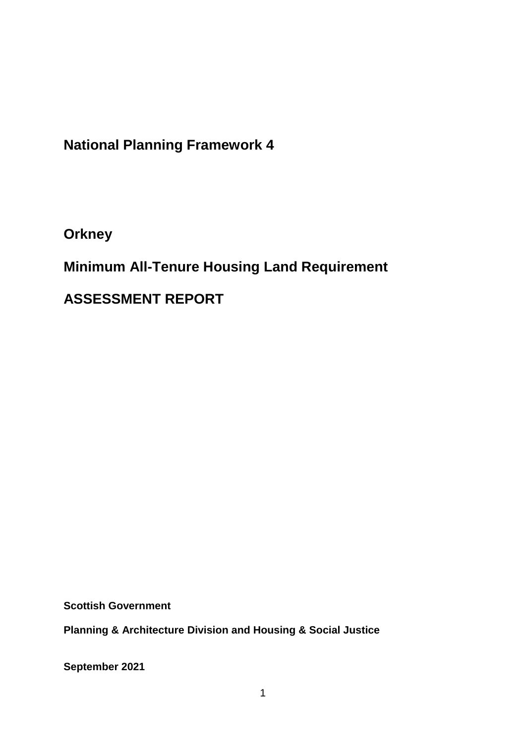**National Planning Framework 4**

**Orkney**

**Minimum All-Tenure Housing Land Requirement** 

**ASSESSMENT REPORT**

**Scottish Government**

**Planning & Architecture Division and Housing & Social Justice** 

**September 2021**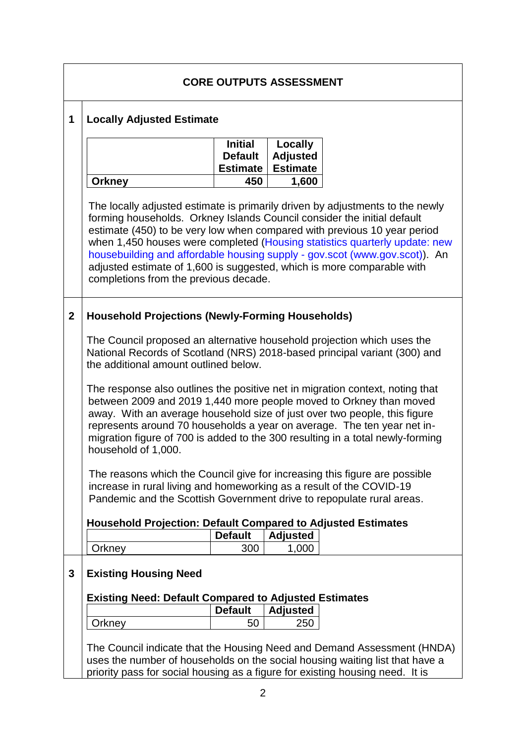| <b>CORE OUTPUTS ASSESSMENT</b> |                                                                                                                                                                                                                                                                                                                                                                                                                                                                                                                     |                                                     |                                               |  |  |  |
|--------------------------------|---------------------------------------------------------------------------------------------------------------------------------------------------------------------------------------------------------------------------------------------------------------------------------------------------------------------------------------------------------------------------------------------------------------------------------------------------------------------------------------------------------------------|-----------------------------------------------------|-----------------------------------------------|--|--|--|
| 1                              | <b>Locally Adjusted Estimate</b>                                                                                                                                                                                                                                                                                                                                                                                                                                                                                    |                                                     |                                               |  |  |  |
|                                |                                                                                                                                                                                                                                                                                                                                                                                                                                                                                                                     | <b>Initial</b><br><b>Default</b><br><b>Estimate</b> | Locally<br><b>Adjusted</b><br><b>Estimate</b> |  |  |  |
|                                | <b>Orkney</b>                                                                                                                                                                                                                                                                                                                                                                                                                                                                                                       | 450                                                 | 1,600                                         |  |  |  |
|                                | The locally adjusted estimate is primarily driven by adjustments to the newly<br>forming households. Orkney Islands Council consider the initial default<br>estimate (450) to be very low when compared with previous 10 year period<br>when 1,450 houses were completed (Housing statistics quarterly update: new<br>housebuilding and affordable housing supply - gov.scot (www.gov.scot)). An<br>adjusted estimate of 1,600 is suggested, which is more comparable with<br>completions from the previous decade. |                                                     |                                               |  |  |  |
| $\mathbf{2}$                   | <b>Household Projections (Newly-Forming Households)</b>                                                                                                                                                                                                                                                                                                                                                                                                                                                             |                                                     |                                               |  |  |  |
|                                | The Council proposed an alternative household projection which uses the<br>National Records of Scotland (NRS) 2018-based principal variant (300) and<br>the additional amount outlined below.                                                                                                                                                                                                                                                                                                                       |                                                     |                                               |  |  |  |
|                                | The response also outlines the positive net in migration context, noting that<br>between 2009 and 2019 1,440 more people moved to Orkney than moved<br>away. With an average household size of just over two people, this figure<br>represents around 70 households a year on average. The ten year net in-<br>migration figure of 700 is added to the 300 resulting in a total newly-forming<br>household of 1,000.                                                                                                |                                                     |                                               |  |  |  |
|                                | The reasons which the Council give for increasing this figure are possible<br>increase in rural living and homeworking as a result of the COVID-19<br>Pandemic and the Scottish Government drive to repopulate rural areas.                                                                                                                                                                                                                                                                                         |                                                     |                                               |  |  |  |
|                                | <b>Household Projection: Default Compared to Adjusted Estimates</b>                                                                                                                                                                                                                                                                                                                                                                                                                                                 |                                                     |                                               |  |  |  |
|                                |                                                                                                                                                                                                                                                                                                                                                                                                                                                                                                                     | <b>Default</b>                                      | <b>Adjusted</b>                               |  |  |  |
|                                | Orkney                                                                                                                                                                                                                                                                                                                                                                                                                                                                                                              | 300                                                 | 1,000                                         |  |  |  |
| 3                              | <b>Existing Housing Need</b>                                                                                                                                                                                                                                                                                                                                                                                                                                                                                        |                                                     |                                               |  |  |  |
|                                | <b>Existing Need: Default Compared to Adjusted Estimates</b>                                                                                                                                                                                                                                                                                                                                                                                                                                                        |                                                     |                                               |  |  |  |
|                                |                                                                                                                                                                                                                                                                                                                                                                                                                                                                                                                     | <b>Default</b>                                      | <b>Adjusted</b>                               |  |  |  |
|                                | Orkney                                                                                                                                                                                                                                                                                                                                                                                                                                                                                                              | 50                                                  | 250                                           |  |  |  |
|                                | The Council indicate that the Housing Need and Demand Assessment (HNDA)<br>uses the number of households on the social housing waiting list that have a<br>priority pass for social housing as a figure for existing housing need. It is                                                                                                                                                                                                                                                                            |                                                     |                                               |  |  |  |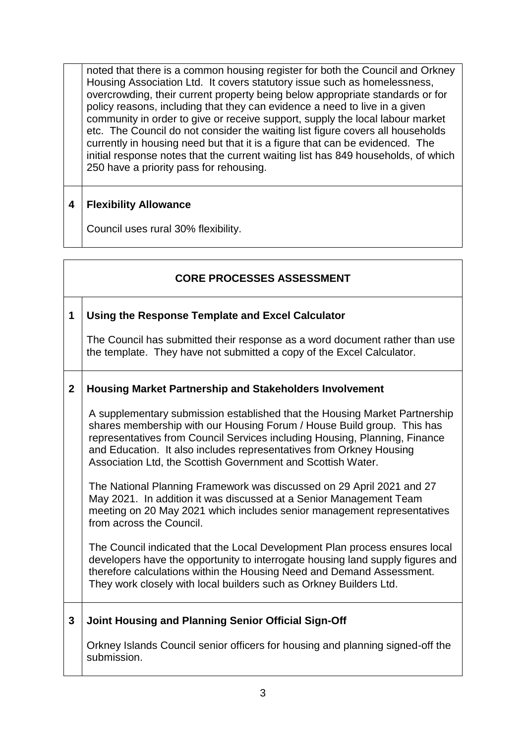noted that there is a common housing register for both the Council and Orkney Housing Association Ltd. It covers statutory issue such as homelessness, overcrowding, their current property being below appropriate standards or for policy reasons, including that they can evidence a need to live in a given community in order to give or receive support, supply the local labour market etc. The Council do not consider the waiting list figure covers all households currently in housing need but that it is a figure that can be evidenced. The initial response notes that the current waiting list has 849 households, of which 250 have a priority pass for rehousing.

### **4 Flexibility Allowance**

Council uses rural 30% flexibility.

### **CORE PROCESSES ASSESSMENT**

#### **1 Using the Response Template and Excel Calculator**

The Council has submitted their response as a word document rather than use the template. They have not submitted a copy of the Excel Calculator.

#### **2 Housing Market Partnership and Stakeholders Involvement**

A supplementary submission established that the Housing Market Partnership shares membership with our Housing Forum / House Build group. This has representatives from Council Services including Housing, Planning, Finance and Education. It also includes representatives from Orkney Housing Association Ltd, the Scottish Government and Scottish Water.

The National Planning Framework was discussed on 29 April 2021 and 27 May 2021. In addition it was discussed at a Senior Management Team meeting on 20 May 2021 which includes senior management representatives from across the Council.

The Council indicated that the Local Development Plan process ensures local developers have the opportunity to interrogate housing land supply figures and therefore calculations within the Housing Need and Demand Assessment. They work closely with local builders such as Orkney Builders Ltd.

**3 Joint Housing and Planning Senior Official Sign-Off**

Orkney Islands Council senior officers for housing and planning signed-off the submission.